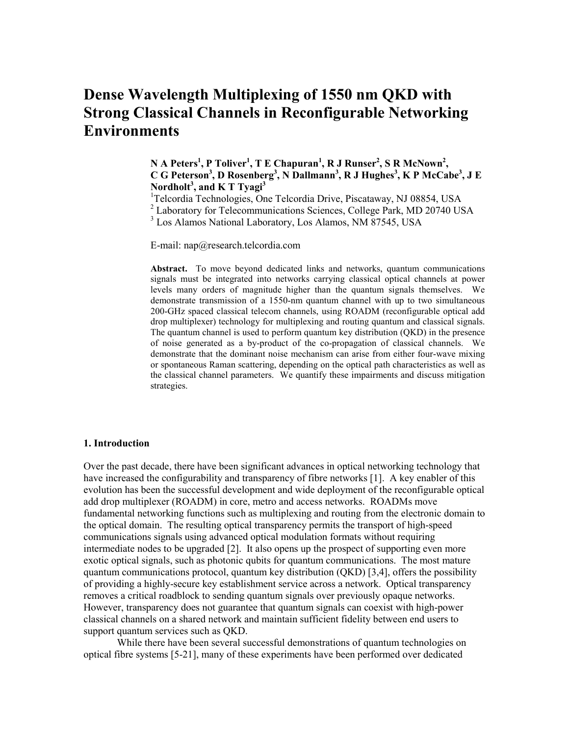# **Dense Wavelength Multiplexing of 1550 nm QKD with Strong Classical Channels in Reconfigurable Networking Environments**

**N A Peters<sup>1</sup> , P Toliver<sup>1</sup> , T E Chapuran<sup>1</sup> , R J Runser<sup>2</sup> , S R McNown<sup>2</sup> , C G Peterson<sup>3</sup> , D Rosenberg<sup>3</sup> , N Dallmann<sup>3</sup> , R J Hughes<sup>3</sup> , K P McCabe<sup>3</sup> , J E Nordholt<sup>3</sup> , and K T Tyagi<sup>3</sup>**

<sup>1</sup>Telcordia Technologies, One Telcordia Drive, Piscataway, NJ 08854, USA

<sup>2</sup> Laboratory for Telecommunications Sciences, College Park, MD 20740 USA

<sup>3</sup> Los Alamos National Laboratory, Los Alamos, NM 87545, USA

E-mail: nap@research.telcordia.com

**Abstract.** To move beyond dedicated links and networks, quantum communications signals must be integrated into networks carrying classical optical channels at power levels many orders of magnitude higher than the quantum signals themselves. We demonstrate transmission of a 1550-nm quantum channel with up to two simultaneous 200-GHz spaced classical telecom channels, using ROADM (reconfigurable optical add drop multiplexer) technology for multiplexing and routing quantum and classical signals. The quantum channel is used to perform quantum key distribution (QKD) in the presence of noise generated as a by-product of the co-propagation of classical channels. We demonstrate that the dominant noise mechanism can arise from either four-wave mixing or spontaneous Raman scattering, depending on the optical path characteristics as well as the classical channel parameters. We quantify these impairments and discuss mitigation strategies.

#### **1. Introduction**

Over the past decade, there have been significant advances in optical networking technology that have increased the configurability and transparency of fibre networks [1]. A key enabler of this evolution has been the successful development and wide deployment of the reconfigurable optical add drop multiplexer (ROADM) in core, metro and access networks. ROADMs move fundamental networking functions such as multiplexing and routing from the electronic domain to the optical domain. The resulting optical transparency permits the transport of high-speed communications signals using advanced optical modulation formats without requiring intermediate nodes to be upgraded [2]. It also opens up the prospect of supporting even more exotic optical signals, such as photonic qubits for quantum communications. The most mature quantum communications protocol, quantum key distribution (QKD) [3,4], offers the possibility of providing a highly-secure key establishment service across a network. Optical transparency removes a critical roadblock to sending quantum signals over previously opaque networks. However, transparency does not guarantee that quantum signals can coexist with high-power classical channels on a shared network and maintain sufficient fidelity between end users to support quantum services such as QKD.

While there have been several successful demonstrations of quantum technologies on optical fibre systems [5-21], many of these experiments have been performed over dedicated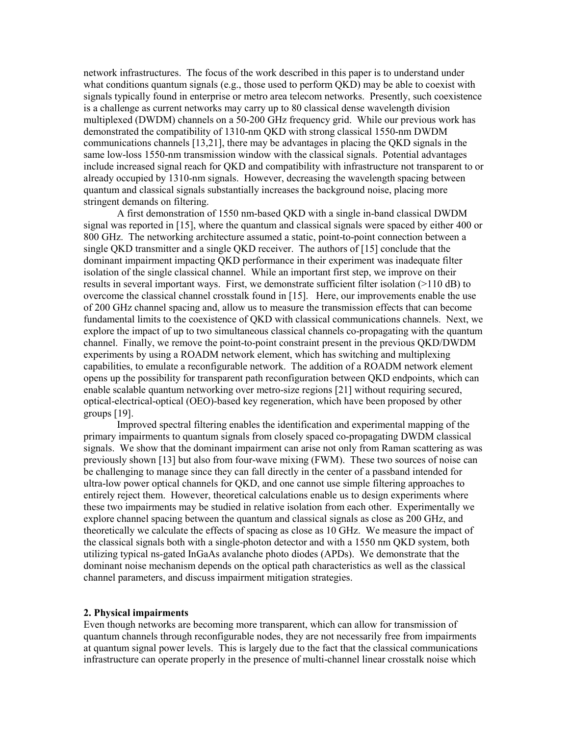network infrastructures. The focus of the work described in this paper is to understand under what conditions quantum signals (e.g., those used to perform  $QKD$ ) may be able to coexist with signals typically found in enterprise or metro area telecom networks. Presently, such coexistence is a challenge as current networks may carry up to 80 classical dense wavelength division multiplexed (DWDM) channels on a 50-200 GHz frequency grid. While our previous work has demonstrated the compatibility of 1310-nm QKD with strong classical 1550-nm DWDM communications channels [13,21], there may be advantages in placing the QKD signals in the same low-loss 1550-nm transmission window with the classical signals. Potential advantages include increased signal reach for QKD and compatibility with infrastructure not transparent to or already occupied by 1310-nm signals. However, decreasing the wavelength spacing between quantum and classical signals substantially increases the background noise, placing more stringent demands on filtering.

A first demonstration of 1550 nm-based QKD with a single in-band classical DWDM signal was reported in [15], where the quantum and classical signals were spaced by either 400 or 800 GHz. The networking architecture assumed a static, point-to-point connection between a single QKD transmitter and a single QKD receiver. The authors of [15] conclude that the dominant impairment impacting QKD performance in their experiment was inadequate filter isolation of the single classical channel. While an important first step, we improve on their results in several important ways. First, we demonstrate sufficient filter isolation (>110 dB) to overcome the classical channel crosstalk found in [15]. Here, our improvements enable the use of 200 GHz channel spacing and, allow us to measure the transmission effects that can become fundamental limits to the coexistence of QKD with classical communications channels. Next, we explore the impact of up to two simultaneous classical channels co-propagating with the quantum channel. Finally, we remove the point-to-point constraint present in the previous QKD/DWDM experiments by using a ROADM network element, which has switching and multiplexing capabilities, to emulate a reconfigurable network. The addition of a ROADM network element opens up the possibility for transparent path reconfiguration between QKD endpoints, which can enable scalable quantum networking over metro-size regions [21] without requiring secured, optical-electrical-optical (OEO)-based key regeneration, which have been proposed by other groups [19].

Improved spectral filtering enables the identification and experimental mapping of the primary impairments to quantum signals from closely spaced co-propagating DWDM classical signals. We show that the dominant impairment can arise not only from Raman scattering as was previously shown [13] but also from four-wave mixing (FWM). These two sources of noise can be challenging to manage since they can fall directly in the center of a passband intended for ultra-low power optical channels for QKD, and one cannot use simple filtering approaches to entirely reject them. However, theoretical calculations enable us to design experiments where these two impairments may be studied in relative isolation from each other. Experimentally we explore channel spacing between the quantum and classical signals as close as 200 GHz, and theoretically we calculate the effects of spacing as close as 10 GHz. We measure the impact of the classical signals both with a single-photon detector and with a 1550 nm QKD system, both utilizing typical ns-gated InGaAs avalanche photo diodes (APDs). We demonstrate that the dominant noise mechanism depends on the optical path characteristics as well as the classical channel parameters, and discuss impairment mitigation strategies.

## **2. Physical impairments**

Even though networks are becoming more transparent, which can allow for transmission of quantum channels through reconfigurable nodes, they are not necessarily free from impairments at quantum signal power levels. This is largely due to the fact that the classical communications infrastructure can operate properly in the presence of multi-channel linear crosstalk noise which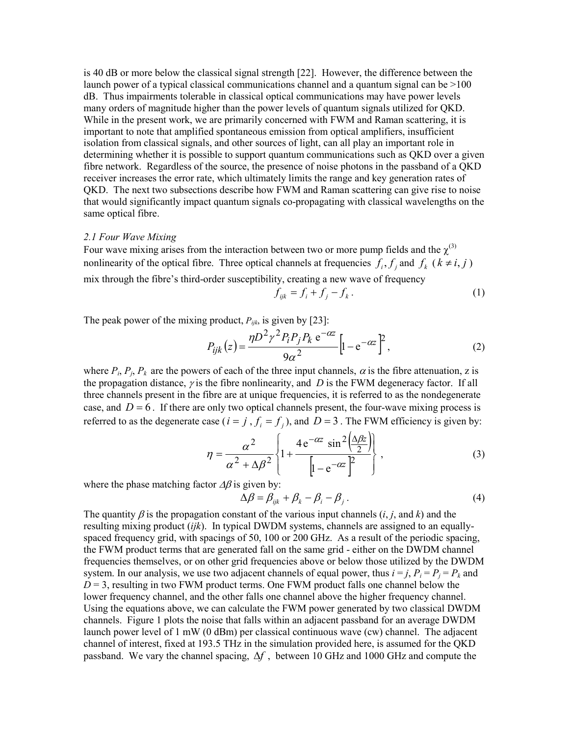is 40 dB or more below the classical signal strength [22]. However, the difference between the launch power of a typical classical communications channel and a quantum signal can be  $>100$ dB. Thus impairments tolerable in classical optical communications may have power levels many orders of magnitude higher than the power levels of quantum signals utilized for QKD. While in the present work, we are primarily concerned with FWM and Raman scattering, it is important to note that amplified spontaneous emission from optical amplifiers, insufficient isolation from classical signals, and other sources of light, can all play an important role in determining whether it is possible to support quantum communications such as QKD over a given fibre network. Regardless of the source, the presence of noise photons in the passband of a QKD receiver increases the error rate, which ultimately limits the range and key generation rates of QKD. The next two subsections describe how FWM and Raman scattering can give rise to noise that would significantly impact quantum signals co-propagating with classical wavelengths on the same optical fibre.

#### *2.1 Four Wave Mixing*

Four wave mixing arises from the interaction between two or more pump fields and the  $\chi^{(3)}$ nonlinearity of the optical fibre. Three optical channels at frequencies  $f_i, f_j$  and  $f_k$  ( $k \neq i, j$ ) mix through the fibre's third-order susceptibility, creating a new wave of frequency

$$
f_{ijk} = f_i + f_j - f_k. \tag{1}
$$

The peak power of the mixing product,  $P_{ijk}$ , is given by [23]:

$$
P_{ijk}(z) = \frac{\eta D^2 \gamma^2 P_i P_j P_k e^{-\alpha z}}{9\alpha^2} \left[ 1 - e^{-\alpha z} \right]^2, \tag{2}
$$

where  $P_i$ ,  $P_j$ ,  $P_k$  are the powers of each of the three input channels,  $\alpha$  is the fibre attenuation, z is the propagation distance,  $\gamma$  is the fibre nonlinearity, and *D* is the FWM degeneracy factor. If all three channels present in the fibre are at unique frequencies, it is referred to as the nondegenerate case, and  $D = 6$ . If there are only two optical channels present, the four-wave mixing process is referred to as the degenerate case ( $i = j$ ,  $f_i = f_j$ ), and  $D = 3$ . The FWM efficiency is given by:

$$
\eta = \frac{\alpha^2}{\alpha^2 + \Delta \beta^2} \left\{ 1 + \frac{4 e^{-\alpha z} \sin^2 \left(\frac{\Delta \beta z}{2}\right)}{\left[1 - e^{-\alpha z}\right]^2} \right\},\tag{3}
$$

where the phase matching factor  $\Delta\beta$  is given by:

$$
\Delta \beta = \beta_{ijk} + \beta_k - \beta_i - \beta_j. \tag{4}
$$

The quantity  $\beta$  is the propagation constant of the various input channels (*i*, *j*, and *k*) and the resulting mixing product (*ijk*). In typical DWDM systems, channels are assigned to an equallyspaced frequency grid, with spacings of 50, 100 or 200 GHz. As a result of the periodic spacing, the FWM product terms that are generated fall on the same grid - either on the DWDM channel frequencies themselves, or on other grid frequencies above or below those utilized by the DWDM system. In our analysis, we use two adjacent channels of equal power, thus  $i = j$ ,  $P_i = P_j = P_k$  and  $D = 3$ , resulting in two FWM product terms. One FWM product falls one channel below the lower frequency channel, and the other falls one channel above the higher frequency channel. Using the equations above, we can calculate the FWM power generated by two classical DWDM channels. Figure 1 plots the noise that falls within an adjacent passband for an average DWDM launch power level of 1 mW (0 dBm) per classical continuous wave (cw) channel. The adjacent channel of interest, fixed at 193.5 THz in the simulation provided here, is assumed for the QKD passband. We vary the channel spacing, ∆*f* , between 10 GHz and 1000 GHz and compute the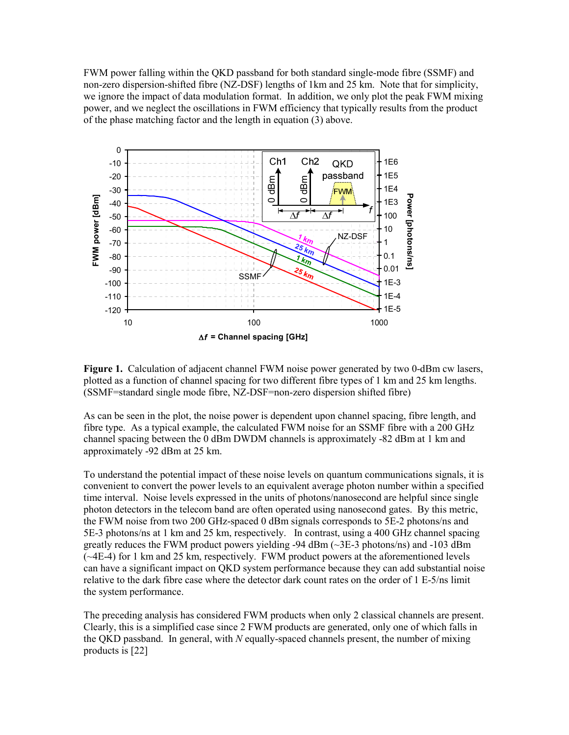FWM power falling within the QKD passband for both standard single-mode fibre (SSMF) and non-zero dispersion-shifted fibre (NZ-DSF) lengths of 1km and 25 km. Note that for simplicity, we ignore the impact of data modulation format. In addition, we only plot the peak FWM mixing power, and we neglect the oscillations in FWM efficiency that typically results from the product of the phase matching factor and the length in equation (3) above.



**Figure 1.** Calculation of adjacent channel FWM noise power generated by two 0-dBm cw lasers, plotted as a function of channel spacing for two different fibre types of 1 km and 25 km lengths. (SSMF=standard single mode fibre, NZ-DSF=non-zero dispersion shifted fibre)

As can be seen in the plot, the noise power is dependent upon channel spacing, fibre length, and fibre type. As a typical example, the calculated FWM noise for an SSMF fibre with a 200 GHz channel spacing between the 0 dBm DWDM channels is approximately -82 dBm at 1 km and approximately -92 dBm at 25 km.

To understand the potential impact of these noise levels on quantum communications signals, it is convenient to convert the power levels to an equivalent average photon number within a specified time interval. Noise levels expressed in the units of photons/nanosecond are helpful since single photon detectors in the telecom band are often operated using nanosecond gates. By this metric, the FWM noise from two 200 GHz-spaced 0 dBm signals corresponds to 5E-2 photons/ns and 5E-3 photons/ns at 1 km and 25 km, respectively. In contrast, using a 400 GHz channel spacing greatly reduces the FWM product powers yielding -94 dBm (~3E-3 photons/ns) and -103 dBm (~4E-4) for 1 km and 25 km, respectively. FWM product powers at the aforementioned levels can have a significant impact on QKD system performance because they can add substantial noise relative to the dark fibre case where the detector dark count rates on the order of 1 E-5/ns limit the system performance.

The preceding analysis has considered FWM products when only 2 classical channels are present. Clearly, this is a simplified case since 2 FWM products are generated, only one of which falls in the QKD passband. In general, with *N* equally-spaced channels present, the number of mixing products is [22]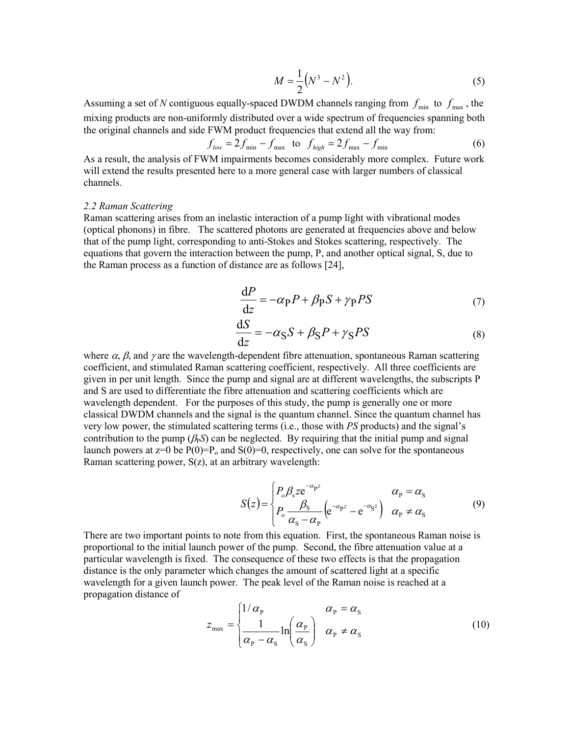$$
M = \frac{1}{2} (N^3 - N^2).
$$
 (5)

Assuming a set of *N* contiguous equally-spaced DWDM channels ranging from  $f_{min}$  to  $f_{max}$ , the mixing products are non-uniformly distributed over a wide spectrum of frequencies spanning both the original channels and side FWM product frequencies that extend all the way from:

$$
f_{low} = 2f_{\min} - f_{\max} \quad \text{to} \quad f_{high} = 2f_{\max} - f_{\min} \tag{6}
$$

As a result, the analysis of FWM impairments becomes considerably more complex. Future work will extend the results presented here to a more general case with larger numbers of classical channels.

#### *2.2 Raman Scattering*

Raman scattering arises from an inelastic interaction of a pump light with vibrational modes (optical phonons) in fibre. The scattered photons are generated at frequencies above and below that of the pump light, corresponding to anti-Stokes and Stokes scattering, respectively. The equations that govern the interaction between the pump, P, and another optical signal, S, due to the Raman process as a function of distance are as follows [24],

$$
\frac{\text{d}P}{\text{d}z} = -\alpha_P P + \beta_P S + \gamma_P PS \tag{7}
$$

$$
\frac{\mathrm{d}S}{\mathrm{d}z} = -\alpha_{\rm S}S + \beta_{\rm S}P + \gamma_{\rm S}PS\tag{8}
$$

where  $\alpha$ ,  $\beta$ , and  $\gamma$  are the wavelength-dependent fibre attenuation, spontaneous Raman scattering coefficient, and stimulated Raman scattering coefficient, respectively. All three coefficients are given in per unit length. Since the pump and signal are at different wavelengths, the subscripts P and S are used to differentiate the fibre attenuation and scattering coefficients which are wavelength dependent. For the purposes of this study, the pump is generally one or more classical DWDM channels and the signal is the quantum channel. Since the quantum channel has very low power, the stimulated scattering terms (i.e., those with *PS* products) and the signal's contribution to the pump ( $\beta_P S$ ) can be neglected. By requiring that the initial pump and signal launch powers at  $z=0$  be  $P(0)=P_0$  and  $S(0)=0$ , respectively, one can solve for the spontaneous Raman scattering power, S(z), at an arbitrary wavelength:

$$
S(z) = \begin{cases} P_o \beta_s z e^{-\alpha_p z} & \alpha_p = \alpha_s \\ P_o \frac{\beta_s}{\alpha_s - \alpha_p} \left( e^{-\alpha_p z} - e^{-\alpha_s z} \right) & \alpha_p \neq \alpha_s \end{cases}
$$
(9)

There are two important points to note from this equation. First, the spontaneous Raman noise is proportional to the initial launch power of the pump. Second, the fibre attenuation value at a particular wavelength is fixed. The consequence of these two effects is that the propagation distance is the only parameter which changes the amount of scattered light at a specific wavelength for a given launch power. The peak level of the Raman noise is reached at a propagation distance of

$$
z_{\max} = \begin{cases} 1/\alpha_{\rm p} & \alpha_{\rm p} = \alpha_{\rm s} \\ \frac{1}{\alpha_{\rm p} - \alpha_{\rm s}} \ln \left( \frac{\alpha_{\rm p}}{\alpha_{\rm s}} \right) & \alpha_{\rm p} \neq \alpha_{\rm s} \end{cases}
$$
(10)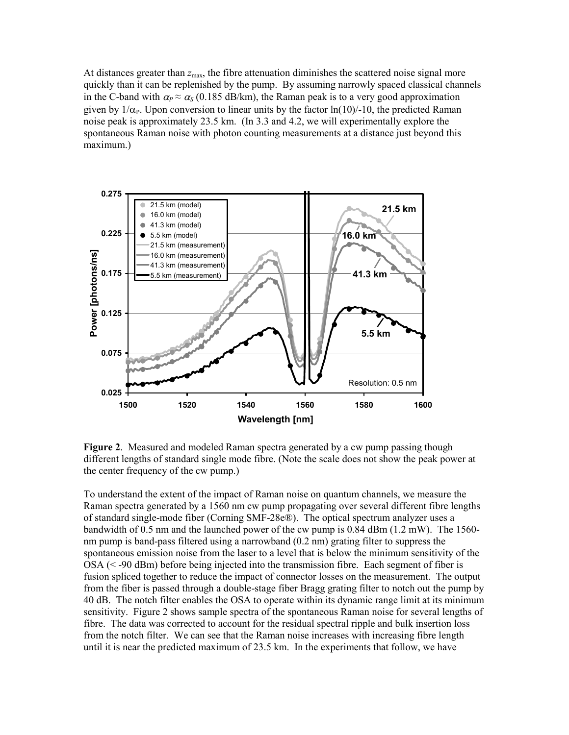At distances greater than  $z_{\text{max}}$ , the fibre attenuation diminishes the scattered noise signal more quickly than it can be replenished by the pump. By assuming narrowly spaced classical channels in the C-band with  $\alpha_P \approx \alpha_S (0.185 \text{ dB/km})$ , the Raman peak is to a very good approximation given by  $1/\alpha_P$ . Upon conversion to linear units by the factor  $\ln(10)/-10$ , the predicted Raman noise peak is approximately 23.5 km. (In 3.3 and 4.2, we will experimentally explore the spontaneous Raman noise with photon counting measurements at a distance just beyond this maximum.)



**Figure 2**. Measured and modeled Raman spectra generated by a cw pump passing though different lengths of standard single mode fibre. (Note the scale does not show the peak power at the center frequency of the cw pump.)

To understand the extent of the impact of Raman noise on quantum channels, we measure the Raman spectra generated by a 1560 nm cw pump propagating over several different fibre lengths of standard single-mode fiber (Corning SMF-28e®). The optical spectrum analyzer uses a bandwidth of 0.5 nm and the launched power of the cw pump is  $0.84$  dBm  $(1.2 \text{ mW})$ . The 1560nm pump is band-pass filtered using a narrowband (0.2 nm) grating filter to suppress the spontaneous emission noise from the laser to a level that is below the minimum sensitivity of the  $OSA$  ( $\leq$  -90 dBm) before being injected into the transmission fibre. Each segment of fiber is fusion spliced together to reduce the impact of connector losses on the measurement. The output from the fiber is passed through a double-stage fiber Bragg grating filter to notch out the pump by 40 dB. The notch filter enables the OSA to operate within its dynamic range limit at its minimum sensitivity. Figure 2 shows sample spectra of the spontaneous Raman noise for several lengths of fibre. The data was corrected to account for the residual spectral ripple and bulk insertion loss from the notch filter. We can see that the Raman noise increases with increasing fibre length until it is near the predicted maximum of 23.5 km. In the experiments that follow, we have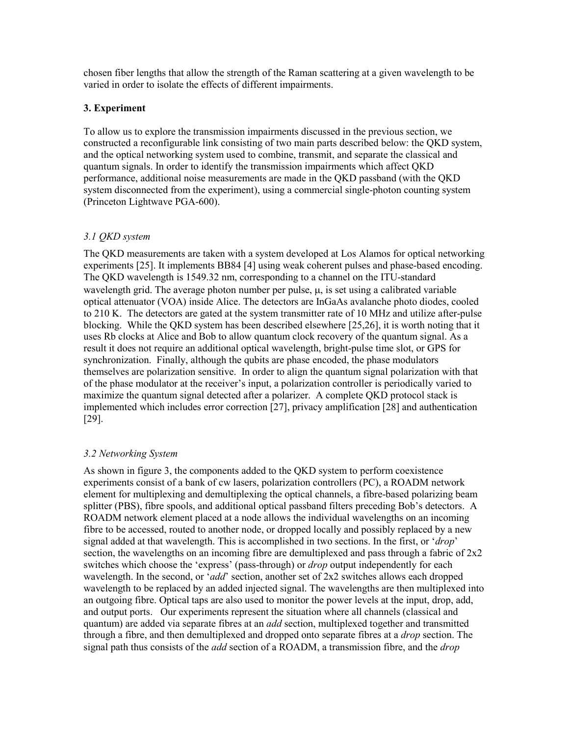chosen fiber lengths that allow the strength of the Raman scattering at a given wavelength to be varied in order to isolate the effects of different impairments.

# **3. Experiment**

To allow us to explore the transmission impairments discussed in the previous section, we constructed a reconfigurable link consisting of two main parts described below: the QKD system, and the optical networking system used to combine, transmit, and separate the classical and quantum signals. In order to identify the transmission impairments which affect QKD performance, additional noise measurements are made in the QKD passband (with the QKD system disconnected from the experiment), using a commercial single-photon counting system (Princeton Lightwave PGA-600).

## *3.1 QKD system*

The QKD measurements are taken with a system developed at Los Alamos for optical networking experiments [25]. It implements BB84 [4] using weak coherent pulses and phase-based encoding. The QKD wavelength is 1549.32 nm, corresponding to a channel on the ITU-standard wavelength grid. The average photon number per pulse,  $\mu$ , is set using a calibrated variable optical attenuator (VOA) inside Alice. The detectors are InGaAs avalanche photo diodes, cooled to 210 K. The detectors are gated at the system transmitter rate of 10 MHz and utilize after-pulse blocking. While the QKD system has been described elsewhere [25,26], it is worth noting that it uses Rb clocks at Alice and Bob to allow quantum clock recovery of the quantum signal. As a result it does not require an additional optical wavelength, bright-pulse time slot, or GPS for synchronization. Finally, although the qubits are phase encoded, the phase modulators themselves are polarization sensitive. In order to align the quantum signal polarization with that of the phase modulator at the receiver's input, a polarization controller is periodically varied to maximize the quantum signal detected after a polarizer. A complete QKD protocol stack is implemented which includes error correction [27], privacy amplification [28] and authentication [29].

## *3.2 Networking System*

As shown in figure 3, the components added to the QKD system to perform coexistence experiments consist of a bank of cw lasers, polarization controllers (PC), a ROADM network element for multiplexing and demultiplexing the optical channels, a fibre-based polarizing beam splitter (PBS), fibre spools, and additional optical passband filters preceding Bob's detectors. A ROADM network element placed at a node allows the individual wavelengths on an incoming fibre to be accessed, routed to another node, or dropped locally and possibly replaced by a new signal added at that wavelength. This is accomplished in two sections. In the first, or '*drop*' section, the wavelengths on an incoming fibre are demultiplexed and pass through a fabric of  $2x2$ switches which choose the 'express' (pass-through) or *drop* output independently for each wavelength. In the second, or '*add*' section, another set of 2x2 switches allows each dropped wavelength to be replaced by an added injected signal. The wavelengths are then multiplexed into an outgoing fibre. Optical taps are also used to monitor the power levels at the input, drop, add, and output ports. Our experiments represent the situation where all channels (classical and quantum) are added via separate fibres at an *add* section, multiplexed together and transmitted through a fibre, and then demultiplexed and dropped onto separate fibres at a *drop* section. The signal path thus consists of the *add* section of a ROADM, a transmission fibre, and the *drop*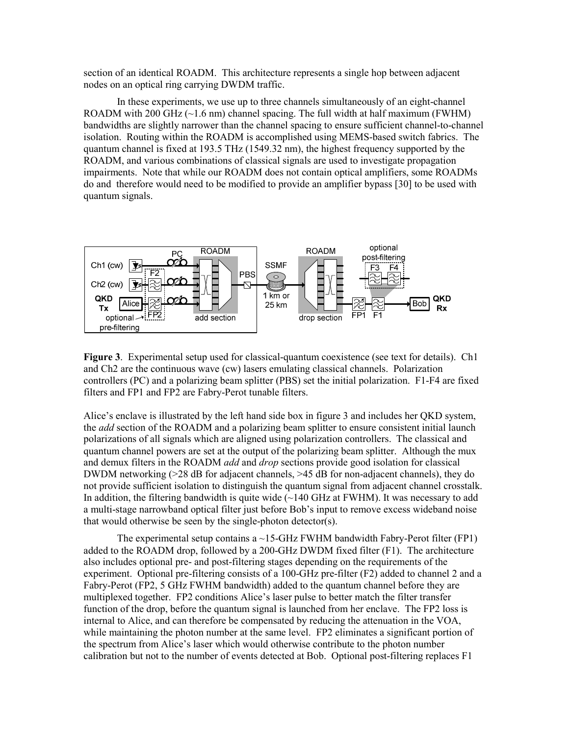section of an identical ROADM. This architecture represents a single hop between adjacent nodes on an optical ring carrying DWDM traffic.

In these experiments, we use up to three channels simultaneously of an eight-channel ROADM with 200 GHz  $(\sim 1.6 \text{ nm})$  channel spacing. The full width at half maximum (FWHM) bandwidths are slightly narrower than the channel spacing to ensure sufficient channel-to-channel isolation. Routing within the ROADM is accomplished using MEMS-based switch fabrics. The quantum channel is fixed at 193.5 THz (1549.32 nm), the highest frequency supported by the ROADM, and various combinations of classical signals are used to investigate propagation impairments. Note that while our ROADM does not contain optical amplifiers, some ROADMs do and therefore would need to be modified to provide an amplifier bypass [30] to be used with quantum signals.



**Figure 3**. Experimental setup used for classical-quantum coexistence (see text for details). Ch1 and Ch2 are the continuous wave (cw) lasers emulating classical channels. Polarization controllers (PC) and a polarizing beam splitter (PBS) set the initial polarization. F1-F4 are fixed filters and FP1 and FP2 are Fabry-Perot tunable filters.

Alice's enclave is illustrated by the left hand side box in figure 3 and includes her QKD system, the *add* section of the ROADM and a polarizing beam splitter to ensure consistent initial launch polarizations of all signals which are aligned using polarization controllers. The classical and quantum channel powers are set at the output of the polarizing beam splitter. Although the mux and demux filters in the ROADM *add* and *drop* sections provide good isolation for classical DWDM networking (>28 dB for adjacent channels, >45 dB for non-adjacent channels), they do not provide sufficient isolation to distinguish the quantum signal from adjacent channel crosstalk. In addition, the filtering bandwidth is quite wide  $\sim$  140 GHz at FWHM). It was necessary to add a multi-stage narrowband optical filter just before Bob's input to remove excess wideband noise that would otherwise be seen by the single-photon detector(s).

The experimental setup contains a  $\sim$ 15-GHz FWHM bandwidth Fabry-Perot filter (FP1) added to the ROADM drop, followed by a 200-GHz DWDM fixed filter (F1). The architecture also includes optional pre- and post-filtering stages depending on the requirements of the experiment. Optional pre-filtering consists of a 100-GHz pre-filter (F2) added to channel 2 and a Fabry-Perot (FP2, 5 GHz FWHM bandwidth) added to the quantum channel before they are multiplexed together. FP2 conditions Alice's laser pulse to better match the filter transfer function of the drop, before the quantum signal is launched from her enclave. The FP2 loss is internal to Alice, and can therefore be compensated by reducing the attenuation in the VOA, while maintaining the photon number at the same level. FP2 eliminates a significant portion of the spectrum from Alice's laser which would otherwise contribute to the photon number calibration but not to the number of events detected at Bob. Optional post-filtering replaces F1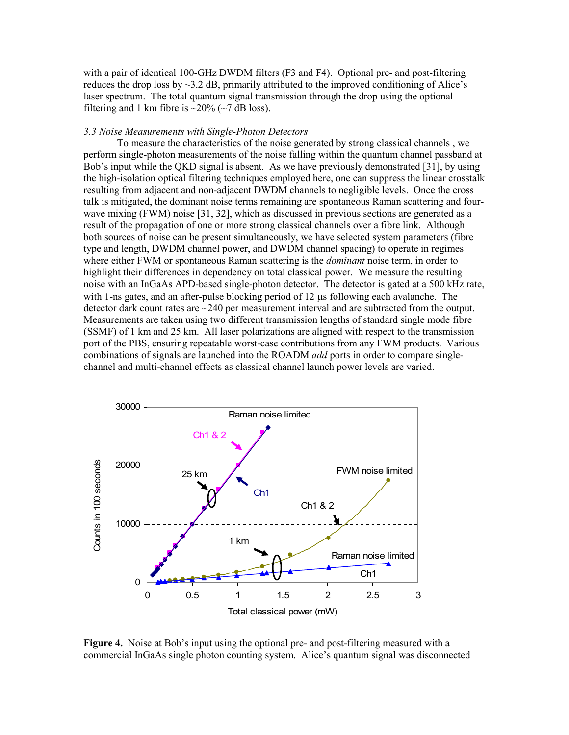with a pair of identical 100-GHz DWDM filters (F3 and F4). Optional pre- and post-filtering reduces the drop loss by  $\sim$ 3.2 dB, primarily attributed to the improved conditioning of Alice's laser spectrum. The total quantum signal transmission through the drop using the optional filtering and 1 km fibre is  $\sim$ 20% ( $\sim$ 7 dB loss).

#### *3.3 Noise Measurements with Single-Photon Detectors*

To measure the characteristics of the noise generated by strong classical channels , we perform single-photon measurements of the noise falling within the quantum channel passband at Bob's input while the QKD signal is absent. As we have previously demonstrated [31], by using the high-isolation optical filtering techniques employed here, one can suppress the linear crosstalk resulting from adjacent and non-adjacent DWDM channels to negligible levels. Once the cross talk is mitigated, the dominant noise terms remaining are spontaneous Raman scattering and fourwave mixing (FWM) noise [31, 32], which as discussed in previous sections are generated as a result of the propagation of one or more strong classical channels over a fibre link. Although both sources of noise can be present simultaneously, we have selected system parameters (fibre type and length, DWDM channel power, and DWDM channel spacing) to operate in regimes where either FWM or spontaneous Raman scattering is the *dominant* noise term, in order to highlight their differences in dependency on total classical power. We measure the resulting noise with an InGaAs APD-based single-photon detector. The detector is gated at a 500 kHz rate, with 1-ns gates, and an after-pulse blocking period of 12  $\mu$ s following each avalanche. The detector dark count rates are ~240 per measurement interval and are subtracted from the output. Measurements are taken using two different transmission lengths of standard single mode fibre (SSMF) of 1 km and 25 km. All laser polarizations are aligned with respect to the transmission port of the PBS, ensuring repeatable worst-case contributions from any FWM products. Various combinations of signals are launched into the ROADM *add* ports in order to compare singlechannel and multi-channel effects as classical channel launch power levels are varied.



**Figure 4.** Noise at Bob's input using the optional pre- and post-filtering measured with a commercial InGaAs single photon counting system. Alice's quantum signal was disconnected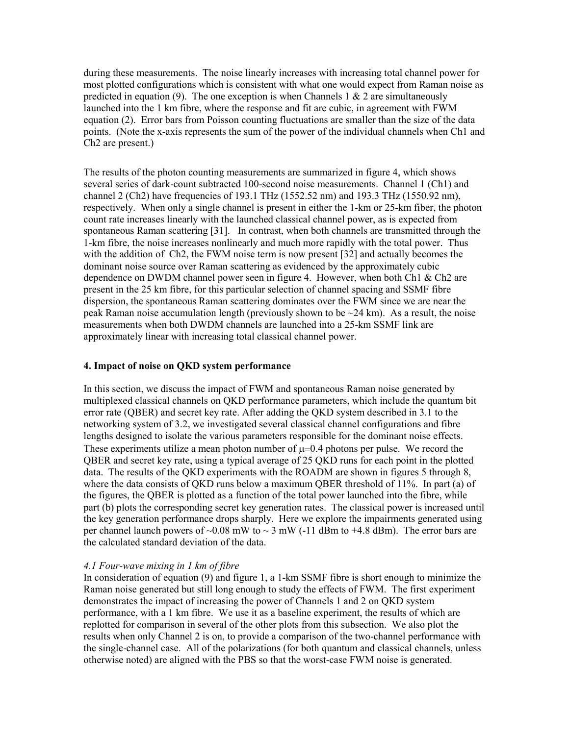during these measurements. The noise linearly increases with increasing total channel power for most plotted configurations which is consistent with what one would expect from Raman noise as predicted in equation (9). The one exception is when Channels 1  $\&$  2 are simultaneously launched into the 1 km fibre, where the response and fit are cubic, in agreement with FWM equation (2). Error bars from Poisson counting fluctuations are smaller than the size of the data points. (Note the x-axis represents the sum of the power of the individual channels when Ch1 and Ch2 are present.)

The results of the photon counting measurements are summarized in figure 4, which shows several series of dark-count subtracted 100-second noise measurements. Channel 1 (Ch1) and channel 2 (Ch2) have frequencies of 193.1 THz (1552.52 nm) and 193.3 THz (1550.92 nm), respectively. When only a single channel is present in either the 1-km or 25-km fiber, the photon count rate increases linearly with the launched classical channel power, as is expected from spontaneous Raman scattering [31]. In contrast, when both channels are transmitted through the 1-km fibre, the noise increases nonlinearly and much more rapidly with the total power. Thus with the addition of Ch2, the FWM noise term is now present [32] and actually becomes the dominant noise source over Raman scattering as evidenced by the approximately cubic dependence on DWDM channel power seen in figure 4. However, when both Ch1 & Ch2 are present in the 25 km fibre, for this particular selection of channel spacing and SSMF fibre dispersion, the spontaneous Raman scattering dominates over the FWM since we are near the peak Raman noise accumulation length (previously shown to be  $\sim$  24 km). As a result, the noise measurements when both DWDM channels are launched into a 25-km SSMF link are approximately linear with increasing total classical channel power.

## **4. Impact of noise on QKD system performance**

In this section, we discuss the impact of FWM and spontaneous Raman noise generated by multiplexed classical channels on QKD performance parameters, which include the quantum bit error rate (QBER) and secret key rate. After adding the QKD system described in 3.1 to the networking system of 3.2, we investigated several classical channel configurations and fibre lengths designed to isolate the various parameters responsible for the dominant noise effects. These experiments utilize a mean photon number of  $\mu$ =0.4 photons per pulse. We record the QBER and secret key rate, using a typical average of 25 QKD runs for each point in the plotted data. The results of the QKD experiments with the ROADM are shown in figures 5 through 8, where the data consists of QKD runs below a maximum QBER threshold of 11%. In part (a) of the figures, the QBER is plotted as a function of the total power launched into the fibre, while part (b) plots the corresponding secret key generation rates. The classical power is increased until the key generation performance drops sharply. Here we explore the impairments generated using per channel launch powers of  $\sim 0.08$  mW to  $\sim 3$  mW (-11 dBm to +4.8 dBm). The error bars are the calculated standard deviation of the data.

## *4.1 Four-wave mixing in 1 km of fibre*

In consideration of equation (9) and figure 1, a 1-km SSMF fibre is short enough to minimize the Raman noise generated but still long enough to study the effects of FWM. The first experiment demonstrates the impact of increasing the power of Channels 1 and 2 on QKD system performance, with a 1 km fibre. We use it as a baseline experiment, the results of which are replotted for comparison in several of the other plots from this subsection. We also plot the results when only Channel 2 is on, to provide a comparison of the two-channel performance with the single-channel case. All of the polarizations (for both quantum and classical channels, unless otherwise noted) are aligned with the PBS so that the worst-case FWM noise is generated.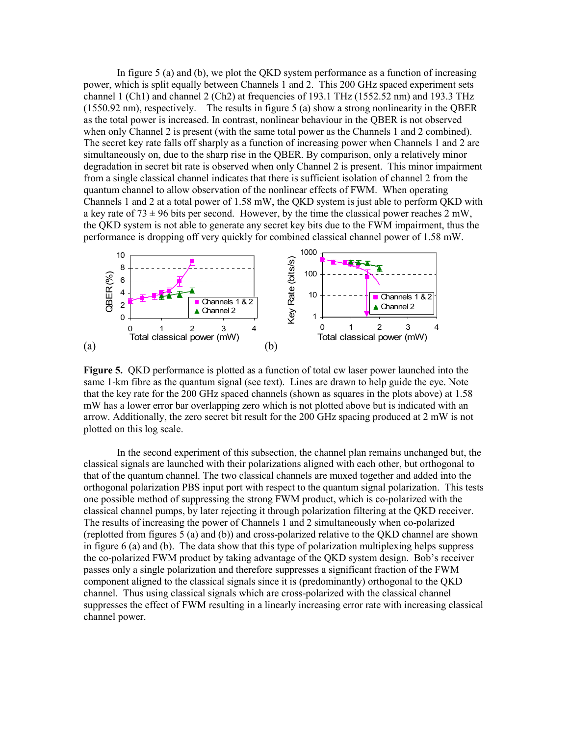In figure 5 (a) and (b), we plot the QKD system performance as a function of increasing power, which is split equally between Channels 1 and 2. This 200 GHz spaced experiment sets channel 1 (Ch1) and channel 2 (Ch2) at frequencies of 193.1 THz (1552.52 nm) and 193.3 THz (1550.92 nm), respectively. The results in figure 5 (a) show a strong nonlinearity in the QBER as the total power is increased. In contrast, nonlinear behaviour in the QBER is not observed when only Channel 2 is present (with the same total power as the Channels 1 and 2 combined). The secret key rate falls off sharply as a function of increasing power when Channels 1 and 2 are simultaneously on, due to the sharp rise in the QBER. By comparison, only a relatively minor degradation in secret bit rate is observed when only Channel 2 is present. This minor impairment from a single classical channel indicates that there is sufficient isolation of channel 2 from the quantum channel to allow observation of the nonlinear effects of FWM. When operating Channels 1 and 2 at a total power of 1.58 mW, the QKD system is just able to perform QKD with a key rate of 73  $\pm$  96 bits per second. However, by the time the classical power reaches 2 mW, the QKD system is not able to generate any secret key bits due to the FWM impairment, thus the performance is dropping off very quickly for combined classical channel power of 1.58 mW.



**Figure 5.** QKD performance is plotted as a function of total cw laser power launched into the same 1-km fibre as the quantum signal (see text). Lines are drawn to help guide the eye. Note that the key rate for the 200 GHz spaced channels (shown as squares in the plots above) at 1.58 mW has a lower error bar overlapping zero which is not plotted above but is indicated with an arrow. Additionally, the zero secret bit result for the 200 GHz spacing produced at 2 mW is not plotted on this log scale.

In the second experiment of this subsection, the channel plan remains unchanged but, the classical signals are launched with their polarizations aligned with each other, but orthogonal to that of the quantum channel. The two classical channels are muxed together and added into the orthogonal polarization PBS input port with respect to the quantum signal polarization. This tests one possible method of suppressing the strong FWM product, which is co-polarized with the classical channel pumps, by later rejecting it through polarization filtering at the QKD receiver. The results of increasing the power of Channels 1 and 2 simultaneously when co-polarized (replotted from figures 5 (a) and (b)) and cross-polarized relative to the QKD channel are shown in figure  $6$  (a) and (b). The data show that this type of polarization multiplexing helps suppress the co-polarized FWM product by taking advantage of the QKD system design. Bob's receiver passes only a single polarization and therefore suppresses a significant fraction of the FWM component aligned to the classical signals since it is (predominantly) orthogonal to the QKD channel. Thus using classical signals which are cross-polarized with the classical channel suppresses the effect of FWM resulting in a linearly increasing error rate with increasing classical channel power.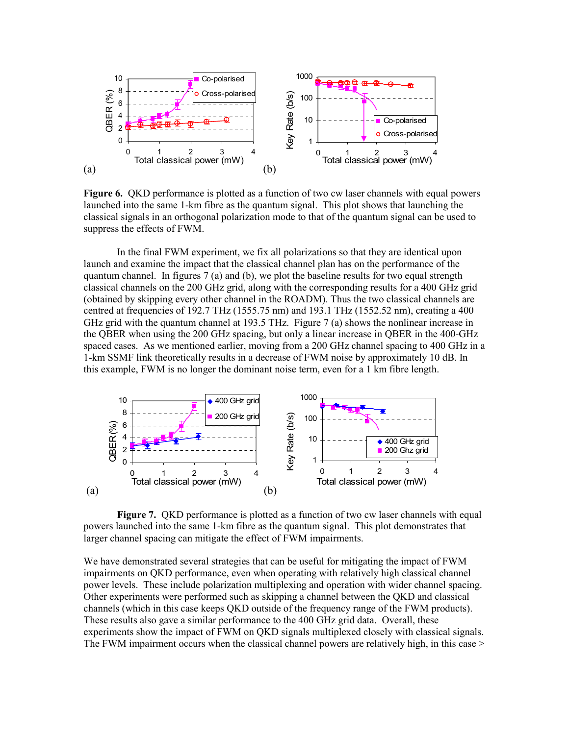

**Figure 6.** QKD performance is plotted as a function of two cw laser channels with equal powers launched into the same 1-km fibre as the quantum signal. This plot shows that launching the classical signals in an orthogonal polarization mode to that of the quantum signal can be used to suppress the effects of FWM.

In the final FWM experiment, we fix all polarizations so that they are identical upon launch and examine the impact that the classical channel plan has on the performance of the quantum channel. In figures 7 (a) and (b), we plot the baseline results for two equal strength classical channels on the 200 GHz grid, along with the corresponding results for a 400 GHz grid (obtained by skipping every other channel in the ROADM). Thus the two classical channels are centred at frequencies of 192.7 THz (1555.75 nm) and 193.1 THz (1552.52 nm), creating a 400 GHz grid with the quantum channel at 193.5 THz. Figure 7 (a) shows the nonlinear increase in the QBER when using the 200 GHz spacing, but only a linear increase in QBER in the 400-GHz spaced cases. As we mentioned earlier, moving from a 200 GHz channel spacing to 400 GHz in a 1-km SSMF link theoretically results in a decrease of FWM noise by approximately 10 dB. In this example, FWM is no longer the dominant noise term, even for a 1 km fibre length.



**Figure 7.** QKD performance is plotted as a function of two cw laser channels with equal powers launched into the same 1-km fibre as the quantum signal. This plot demonstrates that larger channel spacing can mitigate the effect of FWM impairments.

We have demonstrated several strategies that can be useful for mitigating the impact of FWM impairments on QKD performance, even when operating with relatively high classical channel power levels. These include polarization multiplexing and operation with wider channel spacing. Other experiments were performed such as skipping a channel between the QKD and classical channels (which in this case keeps QKD outside of the frequency range of the FWM products). These results also gave a similar performance to the 400 GHz grid data. Overall, these experiments show the impact of FWM on QKD signals multiplexed closely with classical signals. The FWM impairment occurs when the classical channel powers are relatively high, in this case >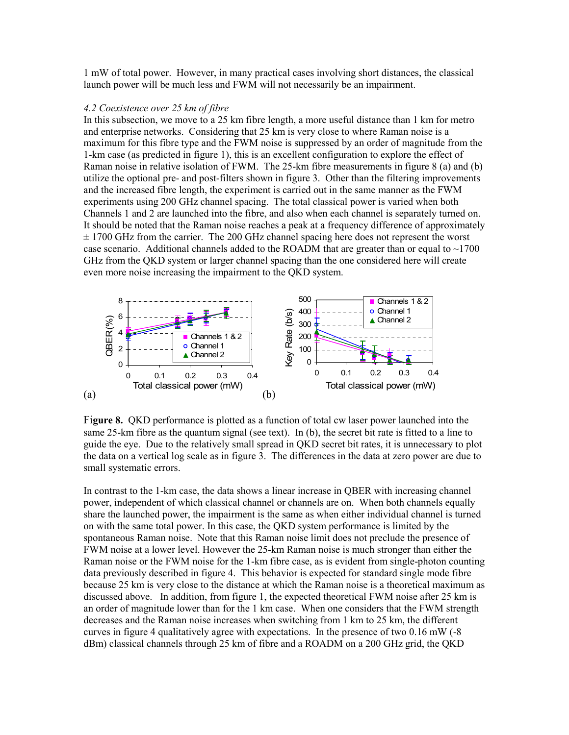1 mW of total power. However, in many practical cases involving short distances, the classical launch power will be much less and FWM will not necessarily be an impairment.

#### *4.2 Coexistence over 25 km of fibre*

In this subsection, we move to a 25 km fibre length, a more useful distance than 1 km for metro and enterprise networks. Considering that 25 km is very close to where Raman noise is a maximum for this fibre type and the FWM noise is suppressed by an order of magnitude from the 1-km case (as predicted in figure 1), this is an excellent configuration to explore the effect of Raman noise in relative isolation of FWM. The 25-km fibre measurements in figure 8 (a) and (b) utilize the optional pre- and post-filters shown in figure 3. Other than the filtering improvements and the increased fibre length, the experiment is carried out in the same manner as the FWM experiments using 200 GHz channel spacing. The total classical power is varied when both Channels 1 and 2 are launched into the fibre, and also when each channel is separately turned on. It should be noted that the Raman noise reaches a peak at a frequency difference of approximately  $\pm$  1700 GHz from the carrier. The 200 GHz channel spacing here does not represent the worst case scenario. Additional channels added to the ROADM that are greater than or equal to  $\sim$ 1700 GHz from the QKD system or larger channel spacing than the one considered here will create even more noise increasing the impairment to the QKD system.



Fi**gure 8.** QKD performance is plotted as a function of total cw laser power launched into the same 25-km fibre as the quantum signal (see text). In (b), the secret bit rate is fitted to a line to guide the eye. Due to the relatively small spread in QKD secret bit rates, it is unnecessary to plot the data on a vertical log scale as in figure 3. The differences in the data at zero power are due to small systematic errors.

In contrast to the 1-km case, the data shows a linear increase in QBER with increasing channel power, independent of which classical channel or channels are on. When both channels equally share the launched power, the impairment is the same as when either individual channel is turned on with the same total power. In this case, the QKD system performance is limited by the spontaneous Raman noise. Note that this Raman noise limit does not preclude the presence of FWM noise at a lower level. However the 25-km Raman noise is much stronger than either the Raman noise or the FWM noise for the 1-km fibre case, as is evident from single-photon counting data previously described in figure 4. This behavior is expected for standard single mode fibre because 25 km is very close to the distance at which the Raman noise is a theoretical maximum as discussed above. In addition, from figure 1, the expected theoretical FWM noise after 25 km is an order of magnitude lower than for the 1 km case. When one considers that the FWM strength decreases and the Raman noise increases when switching from 1 km to 25 km, the different curves in figure 4 qualitatively agree with expectations. In the presence of two 0.16 mW (-8 dBm) classical channels through 25 km of fibre and a ROADM on a 200 GHz grid, the QKD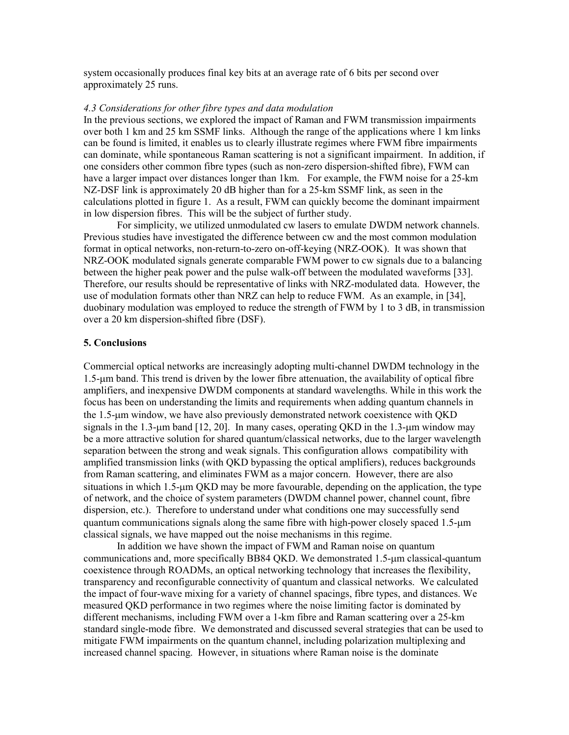system occasionally produces final key bits at an average rate of 6 bits per second over approximately 25 runs.

## *4.3 Considerations for other fibre types and data modulation*

In the previous sections, we explored the impact of Raman and FWM transmission impairments over both 1 km and 25 km SSMF links. Although the range of the applications where 1 km links can be found is limited, it enables us to clearly illustrate regimes where FWM fibre impairments can dominate, while spontaneous Raman scattering is not a significant impairment. In addition, if one considers other common fibre types (such as non-zero dispersion-shifted fibre), FWM can have a larger impact over distances longer than 1km. For example, the FWM noise for a 25-km NZ-DSF link is approximately 20 dB higher than for a 25-km SSMF link, as seen in the calculations plotted in figure 1. As a result, FWM can quickly become the dominant impairment in low dispersion fibres. This will be the subject of further study.

 For simplicity, we utilized unmodulated cw lasers to emulate DWDM network channels. Previous studies have investigated the difference between cw and the most common modulation format in optical networks, non-return-to-zero on-off-keying (NRZ-OOK). It was shown that NRZ-OOK modulated signals generate comparable FWM power to cw signals due to a balancing between the higher peak power and the pulse walk-off between the modulated waveforms [33]. Therefore, our results should be representative of links with NRZ-modulated data. However, the use of modulation formats other than NRZ can help to reduce FWM. As an example, in [34], duobinary modulation was employed to reduce the strength of FWM by 1 to 3 dB, in transmission over a 20 km dispersion-shifted fibre (DSF).

#### **5. Conclusions**

Commercial optical networks are increasingly adopting multi-channel DWDM technology in the 1.5-µm band. This trend is driven by the lower fibre attenuation, the availability of optical fibre amplifiers, and inexpensive DWDM components at standard wavelengths. While in this work the focus has been on understanding the limits and requirements when adding quantum channels in the 1.5-µm window, we have also previously demonstrated network coexistence with QKD signals in the 1.3-µm band  $[12, 20]$ . In many cases, operating QKD in the 1.3-µm window may be a more attractive solution for shared quantum/classical networks, due to the larger wavelength separation between the strong and weak signals. This configuration allows compatibility with amplified transmission links (with QKD bypassing the optical amplifiers), reduces backgrounds from Raman scattering, and eliminates FWM as a major concern. However, there are also situations in which  $1.5$ - $\mu$ m QKD may be more favourable, depending on the application, the type of network, and the choice of system parameters (DWDM channel power, channel count, fibre dispersion, etc.). Therefore to understand under what conditions one may successfully send quantum communications signals along the same fibre with high-power closely spaced 1.5-µm classical signals, we have mapped out the noise mechanisms in this regime.

In addition we have shown the impact of FWM and Raman noise on quantum communications and, more specifically BB84 OKD. We demonstrated 1.5-um classical-quantum coexistence through ROADMs, an optical networking technology that increases the flexibility, transparency and reconfigurable connectivity of quantum and classical networks. We calculated the impact of four-wave mixing for a variety of channel spacings, fibre types, and distances. We measured QKD performance in two regimes where the noise limiting factor is dominated by different mechanisms, including FWM over a 1-km fibre and Raman scattering over a 25-km standard single-mode fibre. We demonstrated and discussed several strategies that can be used to mitigate FWM impairments on the quantum channel, including polarization multiplexing and increased channel spacing. However, in situations where Raman noise is the dominate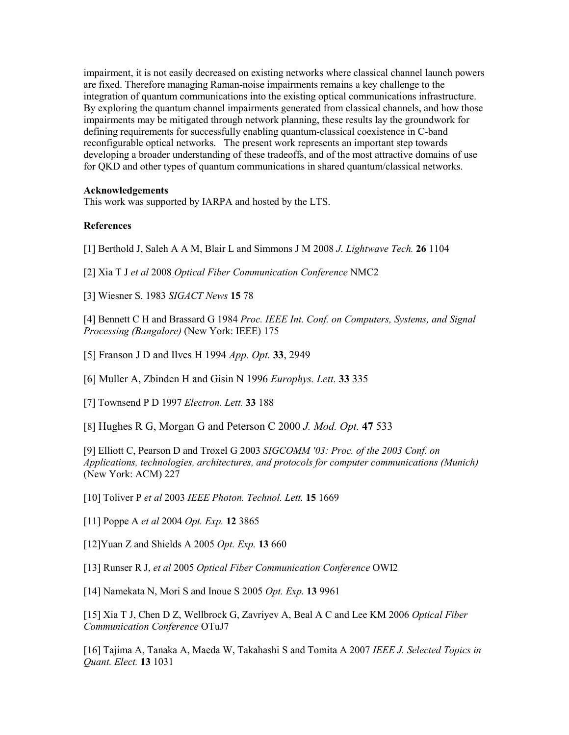impairment, it is not easily decreased on existing networks where classical channel launch powers are fixed. Therefore managing Raman-noise impairments remains a key challenge to the integration of quantum communications into the existing optical communications infrastructure. By exploring the quantum channel impairments generated from classical channels, and how those impairments may be mitigated through network planning, these results lay the groundwork for defining requirements for successfully enabling quantum-classical coexistence in C-band reconfigurable optical networks. The present work represents an important step towards developing a broader understanding of these tradeoffs, and of the most attractive domains of use for QKD and other types of quantum communications in shared quantum/classical networks.

## **Acknowledgements**

This work was supported by IARPA and hosted by the LTS.

## **References**

[1] Berthold J, Saleh A A M, Blair L and Simmons J M 2008 *J. Lightwave Tech.* **26** 1104

- [2] Xia T J *et al* 2008 *Optical Fiber Communication Conference* NMC2
- [3] Wiesner S. 1983 *SIGACT News* **15** 78

[4] Bennett C H and Brassard G 1984 *Proc. IEEE Int. Conf. on Computers, Systems, and Signal Processing (Bangalore)* (New York: IEEE) 175

[5] Franson J D and Ilves H 1994 *App. Opt.* **33**, 2949

[6] Muller A, Zbinden H and Gisin N 1996 *Europhys. Lett.* **33** 335

[7] Townsend P D 1997 *Electron. Lett.* **33** 188

[8] Hughes R G, Morgan G and Peterson C 2000 *J. Mod. Opt.* **47** 533

[9] Elliott C, Pearson D and Troxel G 2003 *SIGCOMM '03: Proc. of the 2003 Conf. on Applications, technologies, architectures, and protocols for computer communications (Munich)*  (New York: ACM) 227

[10] Toliver P *et al* 2003 *IEEE Photon. Technol. Lett.* **15** 1669

[11] Poppe A *et al* 2004 *Opt. Exp.* **12** 3865

[12]Yuan Z and Shields A 2005 *Opt. Exp.* **13** 660

[13] Runser R J, *et al* 2005 *Optical Fiber Communication Conference* OWI2

[14] Namekata N, Mori S and Inoue S 2005 *Opt. Exp.* **13** 9961

[15] Xia T J, Chen D Z, Wellbrock G, Zavriyev A, Beal A C and Lee KM 2006 *Optical Fiber Communication Conference* OTuJ7

[16] Tajima A, Tanaka A, Maeda W, Takahashi S and Tomita A 2007 *IEEE J. Selected Topics in Quant. Elect.* **13** 1031